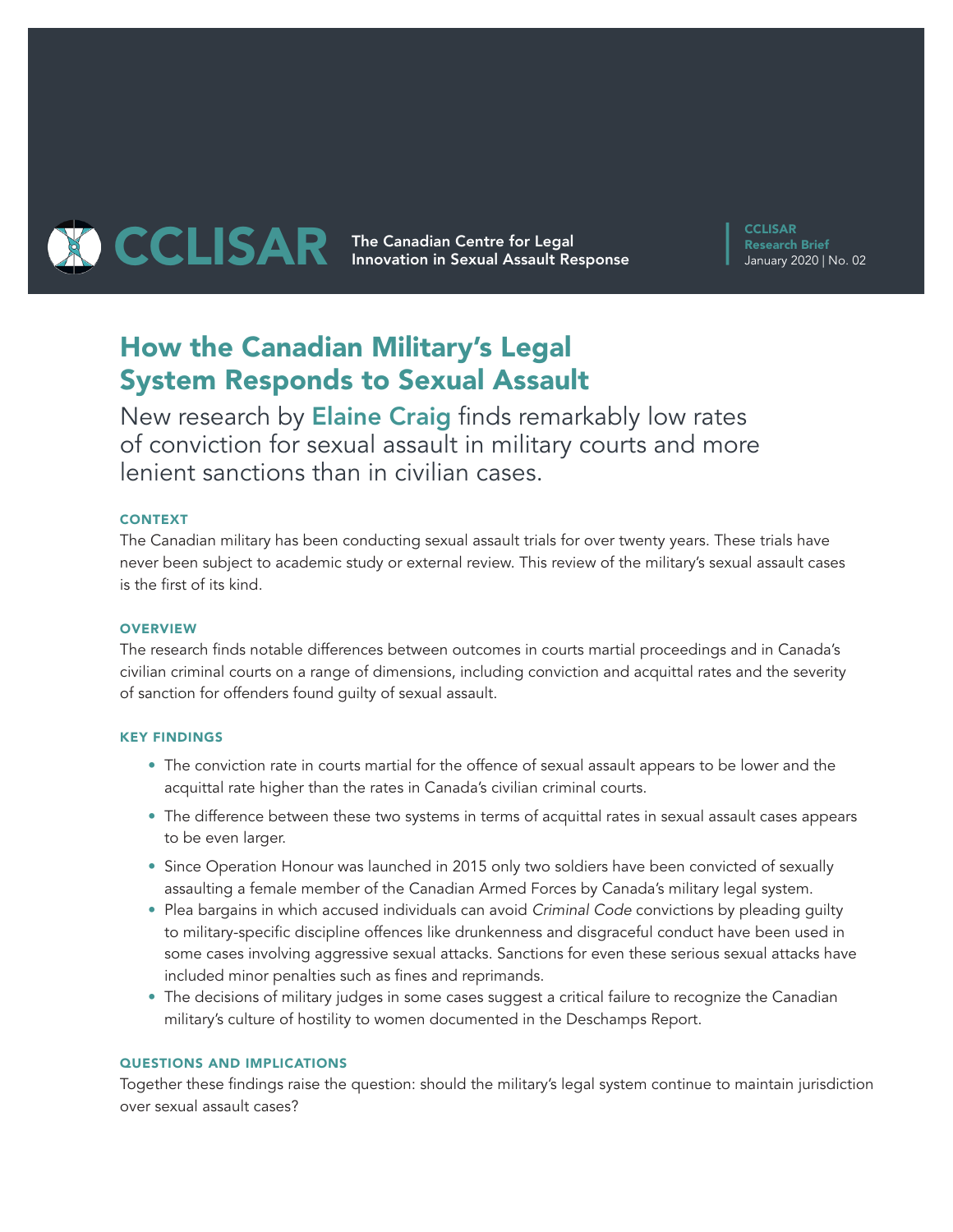

**CCLISAR** Research Brief January 2020 | No. 02

# How the Canadian Military's Legal System Responds to Sexual Assault

New research by Elaine Craig finds remarkably low rates of conviction for sexual assault in military courts and more lenient sanctions than in civilian cases.

## CONTEXT

The Canadian military has been conducting sexual assault trials for over twenty years. These trials have never been subject to academic study or external review. This review of the military's sexual assault cases is the first of its kind.

## **OVERVIEW**

The research finds notable differences between outcomes in courts martial proceedings and in Canada's civilian criminal courts on a range of dimensions, including conviction and acquittal rates and the severity of sanction for offenders found guilty of sexual assault.

## KEY FINDINGS

- The conviction rate in courts martial for the offence of sexual assault appears to be lower and the acquittal rate higher than the rates in Canada's civilian criminal courts.
- The difference between these two systems in terms of acquittal rates in sexual assault cases appears to be even larger.
- Since Operation Honour was launched in 2015 only two soldiers have been convicted of sexually assaulting a female member of the Canadian Armed Forces by Canada's military legal system.
- Plea bargains in which accused individuals can avoid *Criminal Code* convictions by pleading guilty to military-specific discipline offences like drunkenness and disgraceful conduct have been used in some cases involving aggressive sexual attacks. Sanctions for even these serious sexual attacks have included minor penalties such as fines and reprimands.
- The decisions of military judges in some cases suggest a critical failure to recognize the Canadian military's culture of hostility to women documented in the Deschamps Report.

## QUESTIONS AND IMPLICATIONS

Together these findings raise the question: should the military's legal system continue to maintain jurisdiction over sexual assault cases?